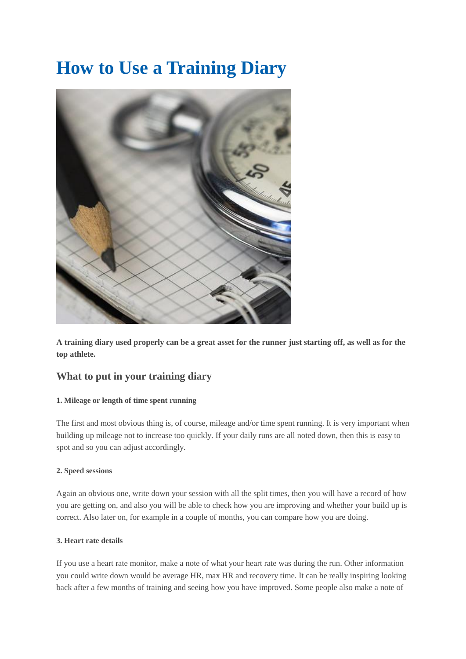# **How to Use a Training Diary**



**A training diary used properly can be a great asset for the runner just starting off, as well as for the top athlete.**

# **What to put in your training diary**

# **1. Mileage or length of time spent running**

The first and most obvious thing is, of course, mileage and/or time spent running. It is very important when building up mileage not to increase too quickly. If your daily runs are all noted down, then this is easy to spot and so you can adjust accordingly.

## **2. Speed sessions**

Again an obvious one, write down your session with all the split times, then you will have a record of how you are getting on, and also you will be able to check how you are improving and whether your build up is correct. Also later on, for example in a couple of months, you can compare how you are doing.

## **3. Heart rate details**

If you use a heart rate monitor, make a note of what your heart rate was during the run. Other information you could write down would be average HR, max HR and recovery time. It can be really inspiring looking back after a few months of training and seeing how you have improved. Some people also make a note of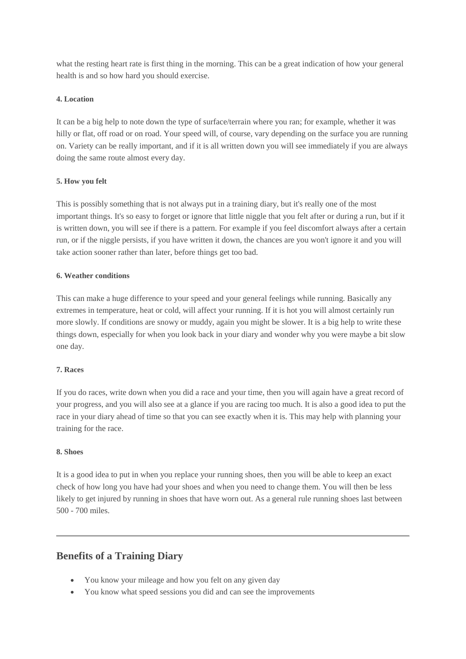what the resting heart rate is first thing in the morning. This can be a great indication of how your general health is and so how hard you should exercise.

## **4. Location**

It can be a big help to note down the type of surface/terrain where you ran; for example, whether it was hilly or flat, off road or on road. Your speed will, of course, vary depending on the surface you are running on. Variety can be really important, and if it is all written down you will see immediately if you are always doing the same route almost every day.

# **5. How you felt**

This is possibly something that is not always put in a training diary, but it's really one of the most important things. It's so easy to forget or ignore that little niggle that you felt after or during a run, but if it is written down, you will see if there is a pattern. For example if you feel discomfort always after a certain run, or if the niggle persists, if you have written it down, the chances are you won't ignore it and you will take action sooner rather than later, before things get too bad.

# **6. Weather conditions**

This can make a huge difference to your speed and your general feelings while running. Basically any extremes in temperature, heat or cold, will affect your running. If it is hot you will almost certainly run more slowly. If conditions are snowy or muddy, again you might be slower. It is a big help to write these things down, especially for when you look back in your diary and wonder why you were maybe a bit slow one day.

## **7. Races**

If you do races, write down when you did a race and your time, then you will again have a great record of your progress, and you will also see at a glance if you are racing too much. It is also a good idea to put the race in your diary ahead of time so that you can see exactly when it is. This may help with planning your training for the race.

## **8. Shoes**

It is a good idea to put in when you replace your running shoes, then you will be able to keep an exact check of how long you have had your shoes and when you need to change them. You will then be less likely to get injured by running in shoes that have worn out. As a general rule running shoes last between 500 - 700 miles.

# **Benefits of a Training Diary**

- You know your mileage and how you felt on any given day
- You know what speed sessions you did and can see the improvements